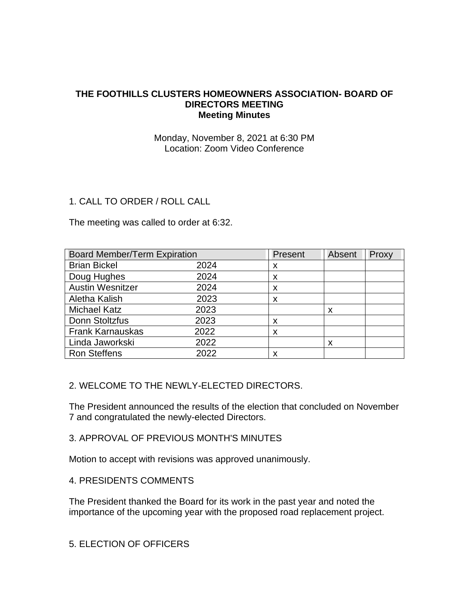# **THE FOOTHILLS CLUSTERS HOMEOWNERS ASSOCIATION- BOARD OF DIRECTORS MEETING Meeting Minutes**

# Monday, November 8, 2021 at 6:30 PM Location: Zoom Video Conference

# 1. CALL TO ORDER / ROLL CALL

The meeting was called to order at 6:32.

| <b>Board Member/Term Expiration</b> |      | Present | Absent | Proxy |
|-------------------------------------|------|---------|--------|-------|
| <b>Brian Bickel</b>                 | 2024 | х       |        |       |
| Doug Hughes                         | 2024 | X       |        |       |
| <b>Austin Wesnitzer</b>             | 2024 | X       |        |       |
| Aletha Kalish                       | 2023 | X       |        |       |
| <b>Michael Katz</b>                 | 2023 |         | X      |       |
| Donn Stoltzfus                      | 2023 | X       |        |       |
| <b>Frank Karnauskas</b>             | 2022 | X       |        |       |
| Linda Jaworkski                     | 2022 |         | x      |       |
| <b>Ron Steffens</b>                 | 2022 | X       |        |       |

# 2. WELCOME TO THE NEWLY-ELECTED DIRECTORS.

The President announced the results of the election that concluded on November 7 and congratulated the newly-elected Directors.

# 3. APPROVAL OF PREVIOUS MONTH'S MINUTES

Motion to accept with revisions was approved unanimously.

# 4. PRESIDENTS COMMENTS

The President thanked the Board for its work in the past year and noted the importance of the upcoming year with the proposed road replacement project.

5. ELECTION OF OFFICERS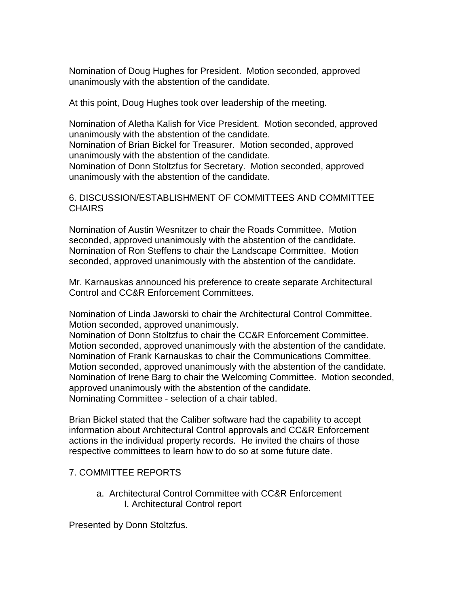Nomination of Doug Hughes for President. Motion seconded, approved unanimously with the abstention of the candidate.

At this point, Doug Hughes took over leadership of the meeting.

Nomination of Aletha Kalish for Vice President. Motion seconded, approved unanimously with the abstention of the candidate.

Nomination of Brian Bickel for Treasurer. Motion seconded, approved unanimously with the abstention of the candidate.

Nomination of Donn Stoltzfus for Secretary. Motion seconded, approved unanimously with the abstention of the candidate.

### 6. DISCUSSION/ESTABLISHMENT OF COMMITTEES AND COMMITTEE CHAIRS

Nomination of Austin Wesnitzer to chair the Roads Committee. Motion seconded, approved unanimously with the abstention of the candidate. Nomination of Ron Steffens to chair the Landscape Committee. Motion seconded, approved unanimously with the abstention of the candidate.

Mr. Karnauskas announced his preference to create separate Architectural Control and CC&R Enforcement Committees.

Nomination of Linda Jaworski to chair the Architectural Control Committee. Motion seconded, approved unanimously.

Nomination of Donn Stoltzfus to chair the CC&R Enforcement Committee. Motion seconded, approved unanimously with the abstention of the candidate. Nomination of Frank Karnauskas to chair the Communications Committee. Motion seconded, approved unanimously with the abstention of the candidate. Nomination of Irene Barg to chair the Welcoming Committee. Motion seconded, approved unanimously with the abstention of the candidate. Nominating Committee - selection of a chair tabled.

Brian Bickel stated that the Caliber software had the capability to accept information about Architectural Control approvals and CC&R Enforcement actions in the individual property records. He invited the chairs of those respective committees to learn how to do so at some future date.

# 7. COMMITTEE REPORTS

a. Architectural Control Committee with CC&R Enforcement I. Architectural Control report

Presented by Donn Stoltzfus.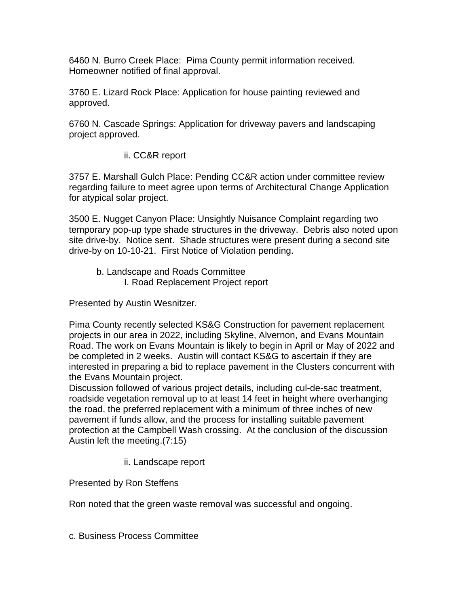6460 N. Burro Creek Place: Pima County permit information received. Homeowner notified of final approval.

3760 E. Lizard Rock Place: Application for house painting reviewed and approved.

6760 N. Cascade Springs: Application for driveway pavers and landscaping project approved.

# ii. CC&R report

3757 E. Marshall Gulch Place: Pending CC&R action under committee review regarding failure to meet agree upon terms of Architectural Change Application for atypical solar project.

3500 E. Nugget Canyon Place: Unsightly Nuisance Complaint regarding two temporary pop-up type shade structures in the driveway. Debris also noted upon site drive-by. Notice sent. Shade structures were present during a second site drive-by on 10-10-21. First Notice of Violation pending.

b. Landscape and Roads Committee I. Road Replacement Project report

Presented by Austin Wesnitzer.

Pima County recently selected KS&G Construction for pavement replacement projects in our area in 2022, including Skyline, Alvernon, and Evans Mountain Road. The work on Evans Mountain is likely to begin in April or May of 2022 and be completed in 2 weeks. Austin will contact KS&G to ascertain if they are interested in preparing a bid to replace pavement in the Clusters concurrent with the Evans Mountain project.

Discussion followed of various project details, including cul-de-sac treatment, roadside vegetation removal up to at least 14 feet in height where overhanging the road, the preferred replacement with a minimum of three inches of new pavement if funds allow, and the process for installing suitable pavement protection at the Campbell Wash crossing. At the conclusion of the discussion Austin left the meeting.(7:15)

ii. Landscape report

Presented by Ron Steffens

Ron noted that the green waste removal was successful and ongoing.

c. Business Process Committee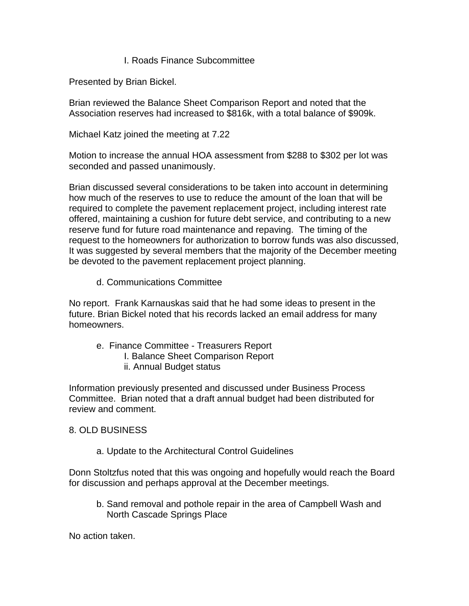### I. Roads Finance Subcommittee

Presented by Brian Bickel.

Brian reviewed the Balance Sheet Comparison Report and noted that the Association reserves had increased to \$816k, with a total balance of \$909k.

Michael Katz joined the meeting at 7.22

Motion to increase the annual HOA assessment from \$288 to \$302 per lot was seconded and passed unanimously.

Brian discussed several considerations to be taken into account in determining how much of the reserves to use to reduce the amount of the loan that will be required to complete the pavement replacement project, including interest rate offered, maintaining a cushion for future debt service, and contributing to a new reserve fund for future road maintenance and repaving. The timing of the request to the homeowners for authorization to borrow funds was also discussed, It was suggested by several members that the majority of the December meeting be devoted to the pavement replacement project planning.

#### d. Communications Committee

No report. Frank Karnauskas said that he had some ideas to present in the future. Brian Bickel noted that his records lacked an email address for many homeowners.

- e. Finance Committee Treasurers Report
	- I. Balance Sheet Comparison Report
	- ii. Annual Budget status

Information previously presented and discussed under Business Process Committee. Brian noted that a draft annual budget had been distributed for review and comment.

# 8. OLD BUSINESS

a. Update to the Architectural Control Guidelines

Donn Stoltzfus noted that this was ongoing and hopefully would reach the Board for discussion and perhaps approval at the December meetings.

b. Sand removal and pothole repair in the area of Campbell Wash and North Cascade Springs Place

No action taken.